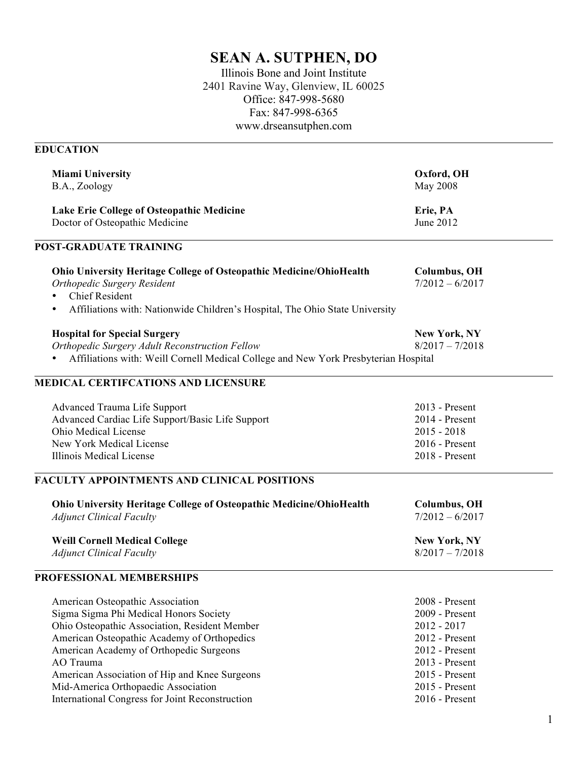# **SEAN A. SUTPHEN, DO**

Illinois Bone and Joint Institute 2401 Ravine Way, Glenview, IL 60025 Office: 847-998-5680 Fax: 847-998-6365 www.drseansutphen.com

# **EDUCATION**

| <b>Miami University</b><br>B.A., Zoology                                                                                                                                                                                                                                                                                                                                      | Oxford, OH<br>May 2008                                                                                                                                        |
|-------------------------------------------------------------------------------------------------------------------------------------------------------------------------------------------------------------------------------------------------------------------------------------------------------------------------------------------------------------------------------|---------------------------------------------------------------------------------------------------------------------------------------------------------------|
| Lake Erie College of Osteopathic Medicine<br>Doctor of Osteopathic Medicine                                                                                                                                                                                                                                                                                                   | Erie, PA<br>June 2012                                                                                                                                         |
| <b>POST-GRADUATE TRAINING</b>                                                                                                                                                                                                                                                                                                                                                 |                                                                                                                                                               |
| <b>Ohio University Heritage College of Osteopathic Medicine/OhioHealth</b><br>Orthopedic Surgery Resident<br><b>Chief Resident</b><br>Affiliations with: Nationwide Children's Hospital, The Ohio State University<br>$\bullet$                                                                                                                                               | <b>Columbus, OH</b><br>$7/2012 - 6/2017$                                                                                                                      |
| <b>Hospital for Special Surgery</b><br>Orthopedic Surgery Adult Reconstruction Fellow<br>Affiliations with: Weill Cornell Medical College and New York Presbyterian Hospital<br>$\bullet$                                                                                                                                                                                     | <b>New York, NY</b><br>$8/2017 - 7/2018$                                                                                                                      |
| <b>MEDICAL CERTIFCATIONS AND LICENSURE</b>                                                                                                                                                                                                                                                                                                                                    |                                                                                                                                                               |
| <b>Advanced Trauma Life Support</b><br>Advanced Cardiac Life Support/Basic Life Support<br>Ohio Medical License<br>New York Medical License<br>Illinois Medical License                                                                                                                                                                                                       | 2013 - Present<br>2014 - Present<br>$2015 - 2018$<br>2016 - Present<br>2018 - Present                                                                         |
| <b>FACULTY APPOINTMENTS AND CLINICAL POSITIONS</b>                                                                                                                                                                                                                                                                                                                            |                                                                                                                                                               |
| Ohio University Heritage College of Osteopathic Medicine/OhioHealth<br><b>Adjunct Clinical Faculty</b><br><b>Weill Cornell Medical College</b>                                                                                                                                                                                                                                | <b>Columbus, OH</b><br>$7/2012 - 6/2017$<br><b>New York, NY</b>                                                                                               |
| <b>Adjunct Clinical Faculty</b>                                                                                                                                                                                                                                                                                                                                               | $8/2017 - 7/2018$                                                                                                                                             |
| PROFESSIONAL MEMBERSHIPS                                                                                                                                                                                                                                                                                                                                                      |                                                                                                                                                               |
| American Osteopathic Association<br>Sigma Sigma Phi Medical Honors Society<br>Ohio Osteopathic Association, Resident Member<br>American Osteopathic Academy of Orthopedics<br>American Academy of Orthopedic Surgeons<br>AO Trauma<br>American Association of Hip and Knee Surgeons<br>Mid-America Orthopaedic Association<br>International Congress for Joint Reconstruction | 2008 - Present<br>2009 - Present<br>$2012 - 2017$<br>2012 - Present<br>2012 - Present<br>2013 - Present<br>2015 - Present<br>2015 - Present<br>2016 - Present |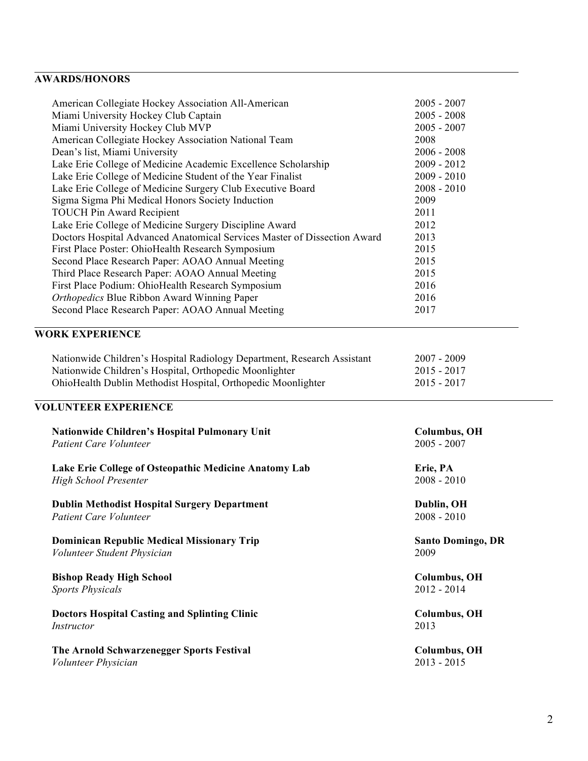# **AWARDS/HONORS**

| American Collegiate Hockey Association All-American                      | $2005 - 2007$                        |
|--------------------------------------------------------------------------|--------------------------------------|
| Miami University Hockey Club Captain                                     | $2005 - 2008$                        |
| Miami University Hockey Club MVP                                         | $2005 - 2007$                        |
| American Collegiate Hockey Association National Team                     | 2008                                 |
| Dean's list, Miami University                                            | $2006 - 2008$                        |
| Lake Erie College of Medicine Academic Excellence Scholarship            | $2009 - 2012$                        |
| Lake Erie College of Medicine Student of the Year Finalist               | $2009 - 2010$                        |
| Lake Erie College of Medicine Surgery Club Executive Board               | $2008 - 2010$                        |
| Sigma Sigma Phi Medical Honors Society Induction                         | 2009                                 |
| <b>TOUCH Pin Award Recipient</b>                                         | 2011                                 |
| Lake Erie College of Medicine Surgery Discipline Award                   | 2012                                 |
| Doctors Hospital Advanced Anatomical Services Master of Dissection Award | 2013                                 |
| First Place Poster: OhioHealth Research Symposium                        | 2015                                 |
| Second Place Research Paper: AOAO Annual Meeting                         | 2015                                 |
| Third Place Research Paper: AOAO Annual Meeting                          | 2015                                 |
| First Place Podium: OhioHealth Research Symposium                        | 2016                                 |
| Orthopedics Blue Ribbon Award Winning Paper                              | 2016                                 |
| Second Place Research Paper: AOAO Annual Meeting                         | 2017                                 |
|                                                                          |                                      |
| <b>WORK EXPERIENCE</b>                                                   |                                      |
| Nationwide Children's Hospital Radiology Department, Research Assistant  | $2007 - 2009$                        |
| Nationwide Children's Hospital, Orthopedic Moonlighter                   | $2015 - 2017$                        |
| OhioHealth Dublin Methodist Hospital, Orthopedic Moonlighter             | $2015 - 2017$                        |
|                                                                          |                                      |
| <b>VOLUNTEER EXPERIENCE</b>                                              |                                      |
| <b>Nationwide Children's Hospital Pulmonary Unit</b>                     | <b>Columbus</b> , OH                 |
| <b>Patient Care Volunteer</b>                                            | $2005 - 2007$                        |
| Lake Erie College of Osteopathic Medicine Anatomy Lab                    | Erie, PA                             |
| High School Presenter                                                    | $2008 - 2010$                        |
|                                                                          |                                      |
| <b>Dublin Methodist Hospital Surgery Department</b>                      | Dublin, OH                           |
| Patient Care Volunteer                                                   | $2008 - 2010$                        |
|                                                                          |                                      |
| <b>Dominican Republic Medical Missionary Trip</b>                        | <b>Santo Domingo, DR</b>             |
| Volunteer Student Physician                                              | 2009                                 |
| <b>Bishop Ready High School</b>                                          | <b>Columbus</b> , OH                 |
| <b>Sports Physicals</b>                                                  | $2012 - 2014$                        |
| <b>Doctors Hospital Casting and Splinting Clinic</b>                     | <b>Columbus</b> , OH                 |
| Instructor                                                               | 2013                                 |
|                                                                          |                                      |
| The Arnold Schwarzenegger Sports Festival<br>Volunteer Physician         | <b>Columbus, OH</b><br>$2013 - 2015$ |
|                                                                          |                                      |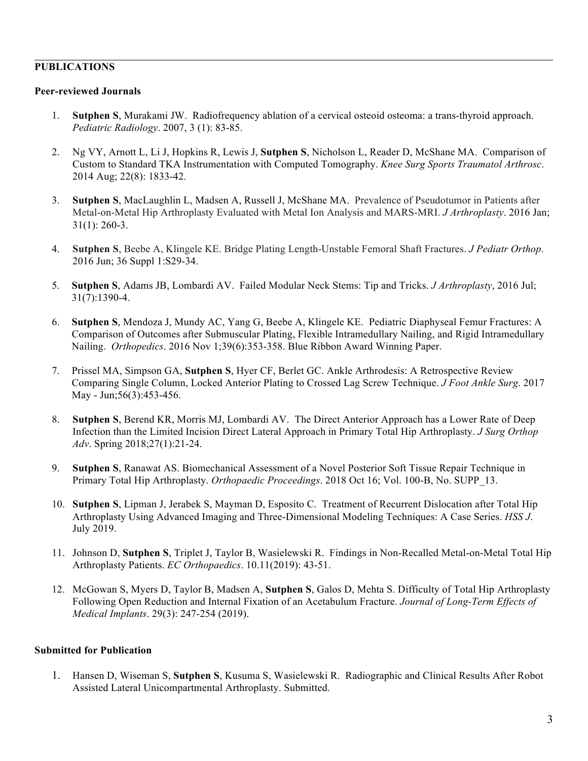#### **PUBLICATIONS**

#### **Peer-reviewed Journals**

- 1. **Sutphen S**, Murakami JW. Radiofrequency ablation of a cervical osteoid osteoma: a trans-thyroid approach. *Pediatric Radiology*. 2007, 3 (1): 83-85.
- 2. Ng VY, Arnott L, Li J, Hopkins R, Lewis J, **Sutphen S**, Nicholson L, Reader D, McShane MA. Comparison of Custom to Standard TKA Instrumentation with Computed Tomography. *Knee Surg Sports Traumatol Arthrosc*. 2014 Aug; 22(8): 1833-42.
- 3. **Sutphen S**, MacLaughlin L, Madsen A, Russell J, McShane MA. Prevalence of Pseudotumor in Patients after Metal-on-Metal Hip Arthroplasty Evaluated with Metal Ion Analysis and MARS-MRI. *J Arthroplasty*. 2016 Jan; 31(1): 260-3.
- 4. **Sutphen S**, Beebe A, Klingele KE. Bridge Plating Length-Unstable Femoral Shaft Fractures. *J Pediatr Orthop*. 2016 Jun; 36 Suppl 1:S29-34.
- 5. **Sutphen S**, Adams JB, Lombardi AV. Failed Modular Neck Stems: Tip and Tricks. *J Arthroplasty*, 2016 Jul; 31(7):1390-4.
- 6. **Sutphen S**, Mendoza J, Mundy AC, Yang G, Beebe A, Klingele KE. Pediatric Diaphyseal Femur Fractures: A Comparison of Outcomes after Submuscular Plating, Flexible Intramedullary Nailing, and Rigid Intramedullary Nailing. *Orthopedics*. 2016 Nov 1;39(6):353-358. Blue Ribbon Award Winning Paper.
- 7. Prissel MA, Simpson GA, **Sutphen S**, Hyer CF, Berlet GC. Ankle Arthrodesis: A Retrospective Review Comparing Single Column, Locked Anterior Plating to Crossed Lag Screw Technique. *J Foot Ankle Surg*. 2017 May - Jun;56(3):453-456.
- 8. **Sutphen S**, Berend KR, Morris MJ, Lombardi AV. The Direct Anterior Approach has a Lower Rate of Deep Infection than the Limited Incision Direct Lateral Approach in Primary Total Hip Arthroplasty. *J Surg Orthop Adv*. Spring 2018;27(1):21-24.
- 9. **Sutphen S**, Ranawat AS. Biomechanical Assessment of a Novel Posterior Soft Tissue Repair Technique in Primary Total Hip Arthroplasty. *Orthopaedic Proceedings*. 2018 Oct 16; Vol. 100-B, No. SUPP\_13.
- 10. **Sutphen S**, Lipman J, Jerabek S, Mayman D, Esposito C. Treatment of Recurrent Dislocation after Total Hip Arthroplasty Using Advanced Imaging and Three-Dimensional Modeling Techniques: A Case Series. *HSS J*. July 2019.
- 11. Johnson D, **Sutphen S**, Triplet J, Taylor B, Wasielewski R. Findings in Non-Recalled Metal-on-Metal Total Hip Arthroplasty Patients. *EC Orthopaedics*. 10.11(2019): 43-51.
- 12. McGowan S, Myers D, Taylor B, Madsen A, **Sutphen S**, Galos D, Mehta S. Difficulty of Total Hip Arthroplasty Following Open Reduction and Internal Fixation of an Acetabulum Fracture. *Journal of Long-Term Effects of Medical Implants*. 29(3): 247-254 (2019).

#### **Submitted for Publication**

1. Hansen D, Wiseman S, **Sutphen S**, Kusuma S, Wasielewski R. Radiographic and Clinical Results After Robot Assisted Lateral Unicompartmental Arthroplasty. Submitted.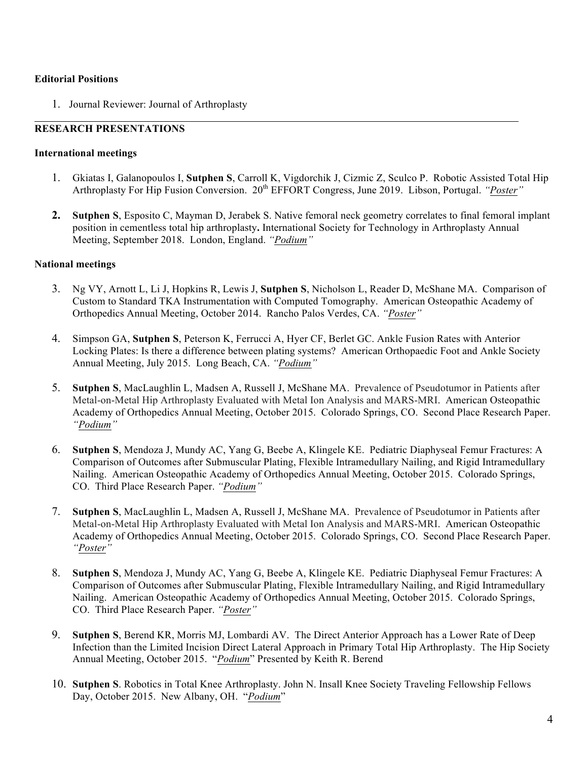#### **Editorial Positions**

1. Journal Reviewer: Journal of Arthroplasty

## **RESEARCH PRESENTATIONS**

#### **International meetings**

- 1. Gkiatas I, Galanopoulos I, **Sutphen S**, Carroll K, Vigdorchik J, Cizmic Z, Sculco P. Robotic Assisted Total Hip Arthroplasty For Hip Fusion Conversion. 20<sup>th</sup> EFFORT Congress, June 2019. Libson, Portugal. *"Poster"*
- **2. Sutphen S**, Esposito C, Mayman D, Jerabek S. Native femoral neck geometry correlates to final femoral implant position in cementless total hip arthroplasty**.** International Society for Technology in Arthroplasty Annual Meeting, September 2018. London, England. *"Podium"*

#### **National meetings**

- 3. Ng VY, Arnott L, Li J, Hopkins R, Lewis J, **Sutphen S**, Nicholson L, Reader D, McShane MA. Comparison of Custom to Standard TKA Instrumentation with Computed Tomography. American Osteopathic Academy of Orthopedics Annual Meeting, October 2014. Rancho Palos Verdes, CA. *"Poster"*
- 4. Simpson GA, **Sutphen S**, Peterson K, Ferrucci A, Hyer CF, Berlet GC. Ankle Fusion Rates with Anterior Locking Plates: Is there a difference between plating systems? American Orthopaedic Foot and Ankle Society Annual Meeting, July 2015. Long Beach, CA. *"Podium"*
- 5. **Sutphen S**, MacLaughlin L, Madsen A, Russell J, McShane MA. Prevalence of Pseudotumor in Patients after Metal-on-Metal Hip Arthroplasty Evaluated with Metal Ion Analysis and MARS-MRI. American Osteopathic Academy of Orthopedics Annual Meeting, October 2015. Colorado Springs, CO. Second Place Research Paper. *"Podium"*
- 6. **Sutphen S**, Mendoza J, Mundy AC, Yang G, Beebe A, Klingele KE. Pediatric Diaphyseal Femur Fractures: A Comparison of Outcomes after Submuscular Plating, Flexible Intramedullary Nailing, and Rigid Intramedullary Nailing. American Osteopathic Academy of Orthopedics Annual Meeting, October 2015. Colorado Springs, CO. Third Place Research Paper. *"Podium"*
- 7. **Sutphen S**, MacLaughlin L, Madsen A, Russell J, McShane MA. Prevalence of Pseudotumor in Patients after Metal-on-Metal Hip Arthroplasty Evaluated with Metal Ion Analysis and MARS-MRI. American Osteopathic Academy of Orthopedics Annual Meeting, October 2015. Colorado Springs, CO. Second Place Research Paper. *"Poster"*
- 8. **Sutphen S**, Mendoza J, Mundy AC, Yang G, Beebe A, Klingele KE. Pediatric Diaphyseal Femur Fractures: A Comparison of Outcomes after Submuscular Plating, Flexible Intramedullary Nailing, and Rigid Intramedullary Nailing. American Osteopathic Academy of Orthopedics Annual Meeting, October 2015. Colorado Springs, CO. Third Place Research Paper. *"Poster"*
- 9. **Sutphen S**, Berend KR, Morris MJ, Lombardi AV. The Direct Anterior Approach has a Lower Rate of Deep Infection than the Limited Incision Direct Lateral Approach in Primary Total Hip Arthroplasty. The Hip Society Annual Meeting, October 2015. "*Podium*" Presented by Keith R. Berend
- 10. **Sutphen S**. Robotics in Total Knee Arthroplasty. John N. Insall Knee Society Traveling Fellowship Fellows Day, October 2015. New Albany, OH. "*Podium*"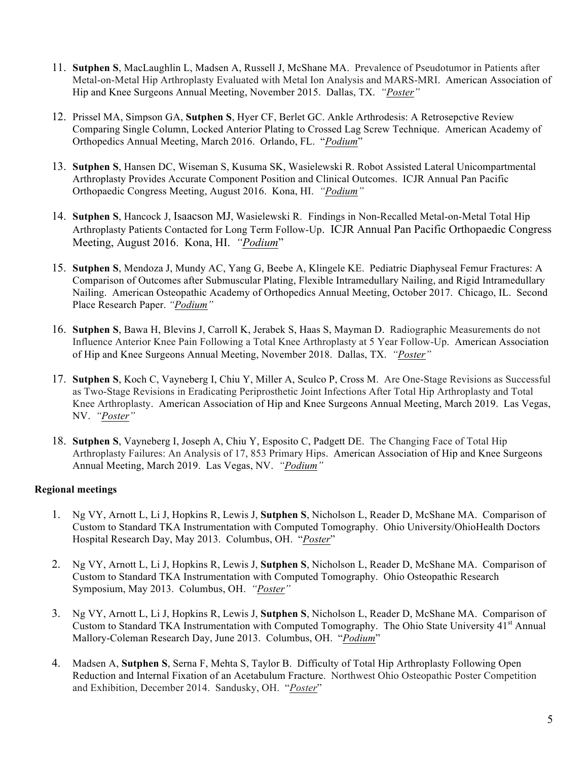- 11. **Sutphen S**, MacLaughlin L, Madsen A, Russell J, McShane MA. Prevalence of Pseudotumor in Patients after Metal-on-Metal Hip Arthroplasty Evaluated with Metal Ion Analysis and MARS-MRI. American Association of Hip and Knee Surgeons Annual Meeting, November 2015. Dallas, TX. *"Poster"*
- 12. Prissel MA, Simpson GA, **Sutphen S**, Hyer CF, Berlet GC. Ankle Arthrodesis: A Retrosepctive Review Comparing Single Column, Locked Anterior Plating to Crossed Lag Screw Technique. American Academy of Orthopedics Annual Meeting, March 2016. Orlando, FL. "*Podium*"
- 13. **Sutphen S**, Hansen DC, Wiseman S, Kusuma SK, Wasielewski R. Robot Assisted Lateral Unicompartmental Arthroplasty Provides Accurate Component Position and Clinical Outcomes. ICJR Annual Pan Pacific Orthopaedic Congress Meeting, August 2016. Kona, HI. *"Podium"*
- 14. **Sutphen S**, Hancock J, Isaacson MJ, Wasielewski R.Findings in Non-Recalled Metal-on-Metal Total Hip Arthroplasty Patients Contacted for Long Term Follow-Up. ICJR Annual Pan Pacific Orthopaedic Congress Meeting, August 2016. Kona, HI. *"Podium*"
- 15. **Sutphen S**, Mendoza J, Mundy AC, Yang G, Beebe A, Klingele KE. Pediatric Diaphyseal Femur Fractures: A Comparison of Outcomes after Submuscular Plating, Flexible Intramedullary Nailing, and Rigid Intramedullary Nailing. American Osteopathic Academy of Orthopedics Annual Meeting, October 2017. Chicago, IL. Second Place Research Paper. *"Podium"*
- 16. **Sutphen S**, Bawa H, Blevins J, Carroll K, Jerabek S, Haas S, Mayman D. Radiographic Measurements do not Influence Anterior Knee Pain Following a Total Knee Arthroplasty at 5 Year Follow-Up. American Association of Hip and Knee Surgeons Annual Meeting, November 2018. Dallas, TX. *"Poster"*
- 17. **Sutphen S**, Koch C, Vayneberg I, Chiu Y, Miller A, Sculco P, Cross M. Are One-Stage Revisions as Successful as Two-Stage Revisions in Eradicating Periprosthetic Joint Infections After Total Hip Arthroplasty and Total Knee Arthroplasty. American Association of Hip and Knee Surgeons Annual Meeting, March 2019. Las Vegas, NV. *"Poster"*
- 18. **Sutphen S**, Vayneberg I, Joseph A, Chiu Y, Esposito C, Padgett DE. The Changing Face of Total Hip Arthroplasty Failures: An Analysis of 17, 853 Primary Hips. American Association of Hip and Knee Surgeons Annual Meeting, March 2019. Las Vegas, NV. *"Podium"*

### **Regional meetings**

- 1. Ng VY, Arnott L, Li J, Hopkins R, Lewis J, **Sutphen S**, Nicholson L, Reader D, McShane MA. Comparison of Custom to Standard TKA Instrumentation with Computed Tomography. Ohio University/OhioHealth Doctors Hospital Research Day, May 2013. Columbus, OH. "*Poster*"
- 2. Ng VY, Arnott L, Li J, Hopkins R, Lewis J, **Sutphen S**, Nicholson L, Reader D, McShane MA. Comparison of Custom to Standard TKA Instrumentation with Computed Tomography. Ohio Osteopathic Research Symposium, May 2013. Columbus, OH. *"Poster"*
- 3. Ng VY, Arnott L, Li J, Hopkins R, Lewis J, **Sutphen S**, Nicholson L, Reader D, McShane MA. Comparison of Custom to Standard TKA Instrumentation with Computed Tomography. The Ohio State University  $41<sup>st</sup>$  Annual Mallory-Coleman Research Day, June 2013. Columbus, OH. "*Podium*"
- 4. Madsen A, **Sutphen S**, Serna F, Mehta S, Taylor B. Difficulty of Total Hip Arthroplasty Following Open Reduction and Internal Fixation of an Acetabulum Fracture. Northwest Ohio Osteopathic Poster Competition and Exhibition, December 2014. Sandusky, OH. "*Poster*"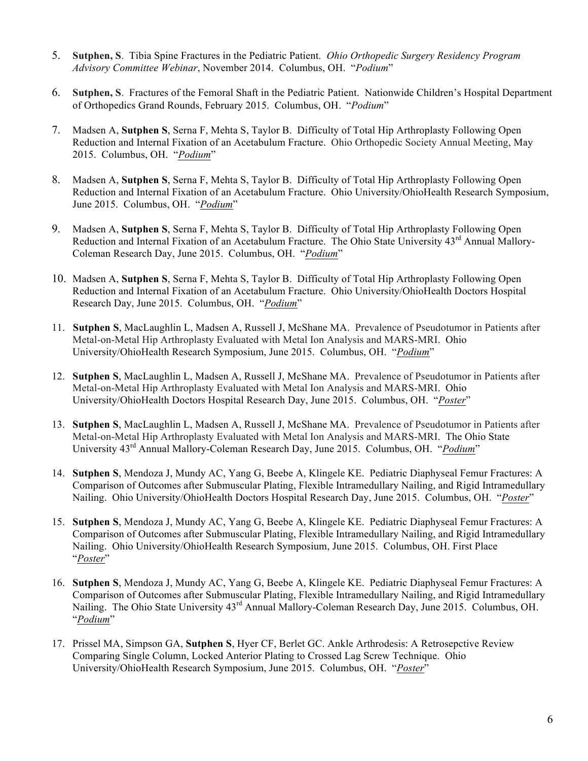- 5. **Sutphen, S**. Tibia Spine Fractures in the Pediatric Patient. *Ohio Orthopedic Surgery Residency Program Advisory Committee Webinar*, November 2014. Columbus, OH. "*Podium*"
- 6. **Sutphen, S**. Fractures of the Femoral Shaft in the Pediatric Patient. Nationwide Children's Hospital Department of Orthopedics Grand Rounds, February 2015. Columbus, OH. "*Podium*"
- 7. Madsen A, **Sutphen S**, Serna F, Mehta S, Taylor B. Difficulty of Total Hip Arthroplasty Following Open Reduction and Internal Fixation of an Acetabulum Fracture. Ohio Orthopedic Society Annual Meeting, May 2015. Columbus, OH. "*Podium*"
- 8. Madsen A, **Sutphen S**, Serna F, Mehta S, Taylor B. Difficulty of Total Hip Arthroplasty Following Open Reduction and Internal Fixation of an Acetabulum Fracture. Ohio University/OhioHealth Research Symposium, June 2015. Columbus, OH. "*Podium*"
- 9. Madsen A, **Sutphen S**, Serna F, Mehta S, Taylor B. Difficulty of Total Hip Arthroplasty Following Open Reduction and Internal Fixation of an Acetabulum Fracture. The Ohio State University 43<sup>rd</sup> Annual Mallory-Coleman Research Day, June 2015. Columbus, OH. "*Podium*"
- 10. Madsen A, **Sutphen S**, Serna F, Mehta S, Taylor B. Difficulty of Total Hip Arthroplasty Following Open Reduction and Internal Fixation of an Acetabulum Fracture. Ohio University/OhioHealth Doctors Hospital Research Day, June 2015. Columbus, OH. "*Podium*"
- 11. **Sutphen S**, MacLaughlin L, Madsen A, Russell J, McShane MA. Prevalence of Pseudotumor in Patients after Metal-on-Metal Hip Arthroplasty Evaluated with Metal Ion Analysis and MARS-MRI. Ohio University/OhioHealth Research Symposium, June 2015. Columbus, OH. "*Podium*"
- 12. **Sutphen S**, MacLaughlin L, Madsen A, Russell J, McShane MA. Prevalence of Pseudotumor in Patients after Metal-on-Metal Hip Arthroplasty Evaluated with Metal Ion Analysis and MARS-MRI. Ohio University/OhioHealth Doctors Hospital Research Day, June 2015. Columbus, OH. "*Poster*"
- 13. **Sutphen S**, MacLaughlin L, Madsen A, Russell J, McShane MA. Prevalence of Pseudotumor in Patients after Metal-on-Metal Hip Arthroplasty Evaluated with Metal Ion Analysis and MARS-MRI. The Ohio State University 43rd Annual Mallory-Coleman Research Day, June 2015. Columbus, OH. "*Podium*"
- 14. **Sutphen S**, Mendoza J, Mundy AC, Yang G, Beebe A, Klingele KE. Pediatric Diaphyseal Femur Fractures: A Comparison of Outcomes after Submuscular Plating, Flexible Intramedullary Nailing, and Rigid Intramedullary Nailing. Ohio University/OhioHealth Doctors Hospital Research Day, June 2015. Columbus, OH. "*Poster*"
- 15. **Sutphen S**, Mendoza J, Mundy AC, Yang G, Beebe A, Klingele KE. Pediatric Diaphyseal Femur Fractures: A Comparison of Outcomes after Submuscular Plating, Flexible Intramedullary Nailing, and Rigid Intramedullary Nailing. Ohio University/OhioHealth Research Symposium, June 2015. Columbus, OH. First Place "*Poster*"
- 16. **Sutphen S**, Mendoza J, Mundy AC, Yang G, Beebe A, Klingele KE. Pediatric Diaphyseal Femur Fractures: A Comparison of Outcomes after Submuscular Plating, Flexible Intramedullary Nailing, and Rigid Intramedullary Nailing. The Ohio State University 43rd Annual Mallory-Coleman Research Day, June 2015. Columbus, OH. "*Podium*"
- 17. Prissel MA, Simpson GA, **Sutphen S**, Hyer CF, Berlet GC. Ankle Arthrodesis: A Retrosepctive Review Comparing Single Column, Locked Anterior Plating to Crossed Lag Screw Technique. Ohio University/OhioHealth Research Symposium, June 2015. Columbus, OH. "*Poster*"